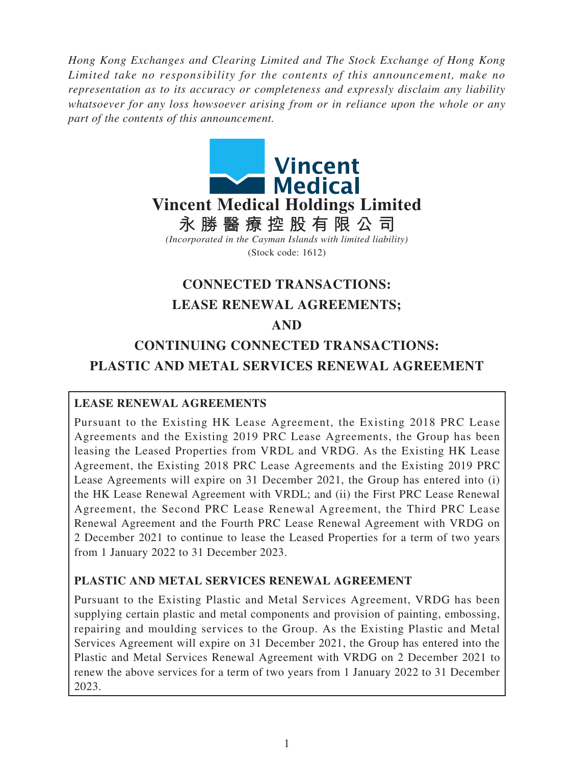*Hong Kong Exchanges and Clearing Limited and The Stock Exchange of Hong Kong Limited take no responsibility for the contents of this announcement, make no representation as to its accuracy or completeness and expressly disclaim any liability whatsoever for any loss howsoever arising from or in reliance upon the whole or any part of the contents of this announcement.*



# **CONNECTED TRANSACTIONS: LEASE RENEWAL AGREEMENTS; AND**

# **CONTINUING CONNECTED TRANSACTIONS: PLASTIC AND METAL SERVICES RENEWAL AGREEMENT**

# **LEASE RENEWAL AGREEMENTS**

Pursuant to the Existing HK Lease Agreement, the Existing 2018 PRC Lease Agreements and the Existing 2019 PRC Lease Agreements, the Group has been leasing the Leased Properties from VRDL and VRDG. As the Existing HK Lease Agreement, the Existing 2018 PRC Lease Agreements and the Existing 2019 PRC Lease Agreements will expire on 31 December 2021, the Group has entered into (i) the HK Lease Renewal Agreement with VRDL; and (ii) the First PRC Lease Renewal Agreement, the Second PRC Lease Renewal Agreement, the Third PRC Lease Renewal Agreement and the Fourth PRC Lease Renewal Agreement with VRDG on 2 December 2021 to continue to lease the Leased Properties for a term of two years from 1 January 2022 to 31 December 2023.

# **PLASTIC AND METAL SERVICES RENEWAL AGREEMENT**

Pursuant to the Existing Plastic and Metal Services Agreement, VRDG has been supplying certain plastic and metal components and provision of painting, embossing, repairing and moulding services to the Group. As the Existing Plastic and Metal Services Agreement will expire on 31 December 2021, the Group has entered into the Plastic and Metal Services Renewal Agreement with VRDG on 2 December 2021 to renew the above services for a term of two years from 1 January 2022 to 31 December 2023.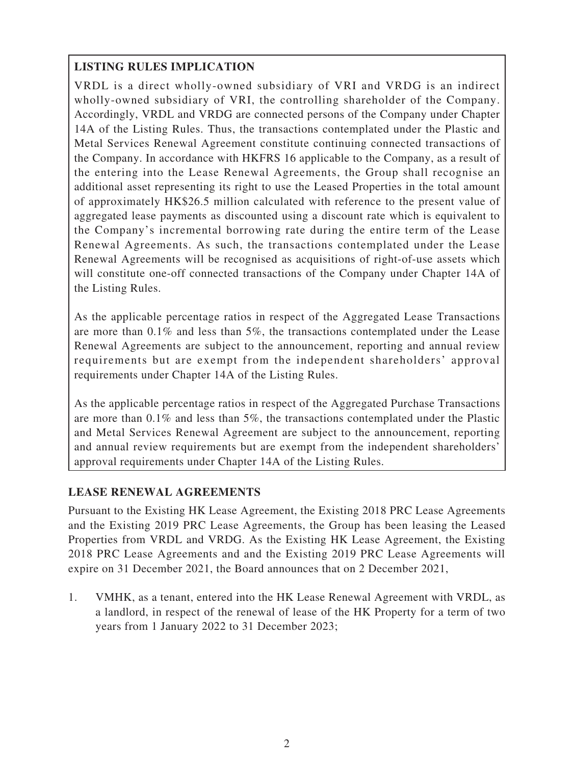# **LISTING RULES IMPLICATION**

VRDL is a direct wholly-owned subsidiary of VRI and VRDG is an indirect wholly-owned subsidiary of VRI, the controlling shareholder of the Company. Accordingly, VRDL and VRDG are connected persons of the Company under Chapter 14A of the Listing Rules. Thus, the transactions contemplated under the Plastic and Metal Services Renewal Agreement constitute continuing connected transactions of the Company. In accordance with HKFRS 16 applicable to the Company, as a result of the entering into the Lease Renewal Agreements, the Group shall recognise an additional asset representing its right to use the Leased Properties in the total amount of approximately HK\$26.5 million calculated with reference to the present value of aggregated lease payments as discounted using a discount rate which is equivalent to the Company's incremental borrowing rate during the entire term of the Lease Renewal Agreements. As such, the transactions contemplated under the Lease Renewal Agreements will be recognised as acquisitions of right-of-use assets which will constitute one-off connected transactions of the Company under Chapter 14A of the Listing Rules.

As the applicable percentage ratios in respect of the Aggregated Lease Transactions are more than 0.1% and less than 5%, the transactions contemplated under the Lease Renewal Agreements are subject to the announcement, reporting and annual review requirements but are exempt from the independent shareholders' approval requirements under Chapter 14A of the Listing Rules.

As the applicable percentage ratios in respect of the Aggregated Purchase Transactions are more than 0.1% and less than 5%, the transactions contemplated under the Plastic and Metal Services Renewal Agreement are subject to the announcement, reporting and annual review requirements but are exempt from the independent shareholders' approval requirements under Chapter 14A of the Listing Rules.

# **LEASE RENEWAL AGREEMENTS**

Pursuant to the Existing HK Lease Agreement, the Existing 2018 PRC Lease Agreements and the Existing 2019 PRC Lease Agreements, the Group has been leasing the Leased Properties from VRDL and VRDG. As the Existing HK Lease Agreement, the Existing 2018 PRC Lease Agreements and and the Existing 2019 PRC Lease Agreements will expire on 31 December 2021, the Board announces that on 2 December 2021,

1. VMHK, as a tenant, entered into the HK Lease Renewal Agreement with VRDL, as a landlord, in respect of the renewal of lease of the HK Property for a term of two years from 1 January 2022 to 31 December 2023;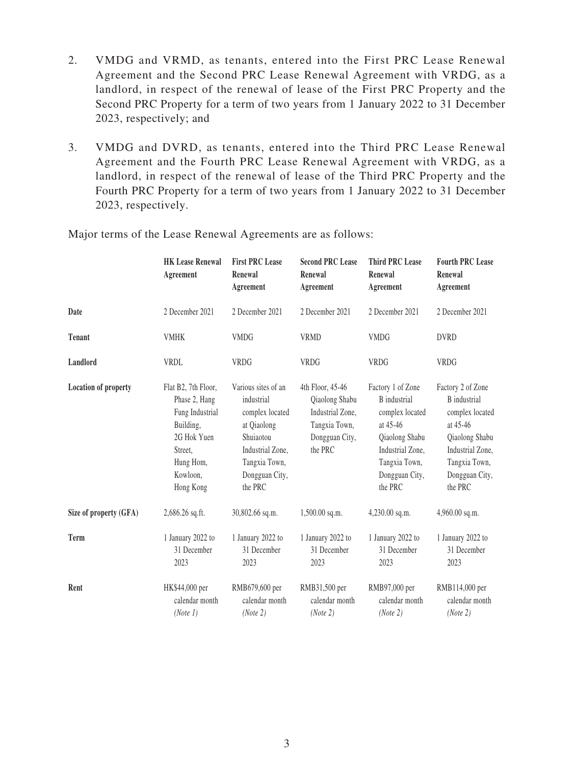- 2. VMDG and VRMD, as tenants, entered into the First PRC Lease Renewal Agreement and the Second PRC Lease Renewal Agreement with VRDG, as a landlord, in respect of the renewal of lease of the First PRC Property and the Second PRC Property for a term of two years from 1 January 2022 to 31 December 2023, respectively; and
- 3. VMDG and DVRD, as tenants, entered into the Third PRC Lease Renewal Agreement and the Fourth PRC Lease Renewal Agreement with VRDG, as a landlord, in respect of the renewal of lease of the Third PRC Property and the Fourth PRC Property for a term of two years from 1 January 2022 to 31 December 2023, respectively.

|                             | <b>HK Lease Renewal</b><br>Agreement                                                                                                 | <b>First PRC Lease</b><br>Renewal<br>Agreement                                                                                                     | <b>Second PRC Lease</b><br>Renewal<br>Agreement                                                      | <b>Third PRC Lease</b><br>Renewal<br>Agreement                                                                                                              | <b>Fourth PRC Lease</b><br>Renewal<br>Agreement                                                                                                             |
|-----------------------------|--------------------------------------------------------------------------------------------------------------------------------------|----------------------------------------------------------------------------------------------------------------------------------------------------|------------------------------------------------------------------------------------------------------|-------------------------------------------------------------------------------------------------------------------------------------------------------------|-------------------------------------------------------------------------------------------------------------------------------------------------------------|
| Date                        | 2 December 2021                                                                                                                      | 2 December 2021                                                                                                                                    | 2 December 2021                                                                                      | 2 December 2021                                                                                                                                             | 2 December 2021                                                                                                                                             |
| <b>Tenant</b>               | <b>VMHK</b>                                                                                                                          | <b>VMDG</b>                                                                                                                                        | <b>VRMD</b>                                                                                          | <b>VMDG</b>                                                                                                                                                 | <b>DVRD</b>                                                                                                                                                 |
| Landlord                    | <b>VRDL</b>                                                                                                                          | <b>VRDG</b>                                                                                                                                        | <b>VRDG</b>                                                                                          | <b>VRDG</b>                                                                                                                                                 | VRDG                                                                                                                                                        |
| <b>Location of property</b> | Flat B2, 7th Floor,<br>Phase 2, Hang<br>Fung Industrial<br>Building,<br>2G Hok Yuen<br>Street,<br>Hung Hom,<br>Kowloon,<br>Hong Kong | Various sites of an<br>industrial<br>complex located<br>at Qiaolong<br>Shuiaotou<br>Industrial Zone,<br>Tangxia Town,<br>Dongguan City,<br>the PRC | 4th Floor, 45-46<br>Qiaolong Shabu<br>Industrial Zone,<br>Tangxia Town,<br>Dongguan City,<br>the PRC | Factory 1 of Zone<br><b>B</b> industrial<br>complex located<br>at 45-46<br>Qiaolong Shabu<br>Industrial Zone,<br>Tangxia Town,<br>Dongguan City,<br>the PRC | Factory 2 of Zone<br><b>B</b> industrial<br>complex located<br>at 45-46<br>Qiaolong Shabu<br>Industrial Zone,<br>Tangxia Town,<br>Dongguan City,<br>the PRC |
| Size of property (GFA)      | 2,686.26 sq.ft.                                                                                                                      | 30,802.66 sq.m.                                                                                                                                    | 1,500.00 sq.m.                                                                                       | $4,230.00$ sq.m.                                                                                                                                            | 4,960.00 sq.m.                                                                                                                                              |
| <b>Term</b>                 | 1 January 2022 to<br>31 December<br>2023                                                                                             | 1 January 2022 to<br>31 December<br>2023                                                                                                           | 1 January 2022 to<br>31 December<br>2023                                                             | 1 January 2022 to<br>31 December<br>2023                                                                                                                    | 1 January 2022 to<br>31 December<br>2023                                                                                                                    |
| Rent                        | HK\$44,000 per<br>calendar month<br>(Note 1)                                                                                         | RMB679,600 per<br>calendar month<br>(Note 2)                                                                                                       | RMB31,500 per<br>calendar month<br>(Note 2)                                                          | RMB97,000 per<br>calendar month<br>(Note 2)                                                                                                                 | RMB114,000 per<br>calendar month<br>(Note 2)                                                                                                                |

Major terms of the Lease Renewal Agreements are as follows: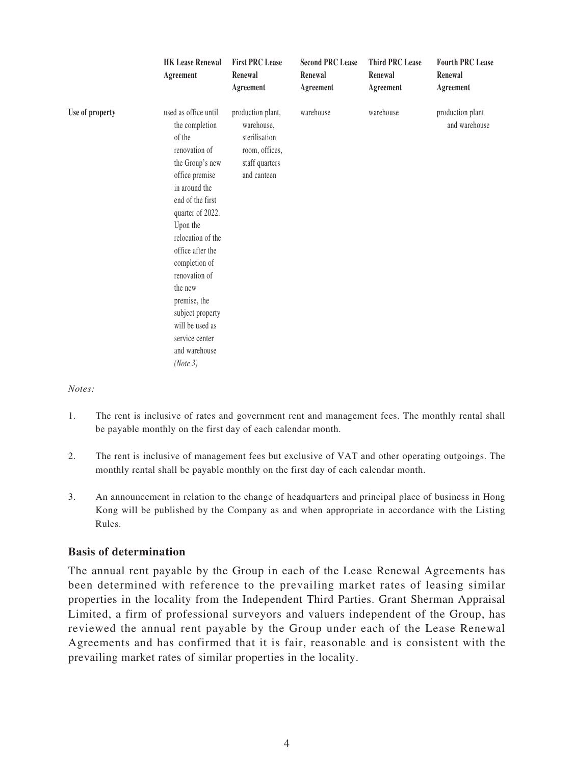|                 | <b>HK Lease Renewal</b><br>Agreement                                                                                                                                                                                                                                                                                                                                    | <b>First PRC Lease</b><br>Renewal<br>Agreement                                                      | <b>Second PRC Lease</b><br>Renewal<br>Agreement | <b>Third PRC Lease</b><br>Renewal<br>Agreement | <b>Fourth PRC Lease</b><br>Renewal<br>Agreement |
|-----------------|-------------------------------------------------------------------------------------------------------------------------------------------------------------------------------------------------------------------------------------------------------------------------------------------------------------------------------------------------------------------------|-----------------------------------------------------------------------------------------------------|-------------------------------------------------|------------------------------------------------|-------------------------------------------------|
| Use of property | used as office until<br>the completion<br>of the<br>renovation of<br>the Group's new<br>office premise<br>in around the<br>end of the first<br>quarter of 2022.<br>Upon the<br>relocation of the<br>office after the<br>completion of<br>renovation of<br>the new<br>premise, the<br>subject property<br>will be used as<br>service center<br>and warehouse<br>(Note 3) | production plant,<br>warehouse,<br>sterilisation<br>room, offices,<br>staff quarters<br>and canteen | warehouse                                       | warehouse                                      | production plant<br>and warehouse               |

*Notes:*

- 1. The rent is inclusive of rates and government rent and management fees. The monthly rental shall be payable monthly on the first day of each calendar month.
- 2. The rent is inclusive of management fees but exclusive of VAT and other operating outgoings. The monthly rental shall be payable monthly on the first day of each calendar month.
- 3. An announcement in relation to the change of headquarters and principal place of business in Hong Kong will be published by the Company as and when appropriate in accordance with the Listing Rules.

### **Basis of determination**

The annual rent payable by the Group in each of the Lease Renewal Agreements has been determined with reference to the prevailing market rates of leasing similar properties in the locality from the Independent Third Parties. Grant Sherman Appraisal Limited, a firm of professional surveyors and valuers independent of the Group, has reviewed the annual rent payable by the Group under each of the Lease Renewal Agreements and has confirmed that it is fair, reasonable and is consistent with the prevailing market rates of similar properties in the locality.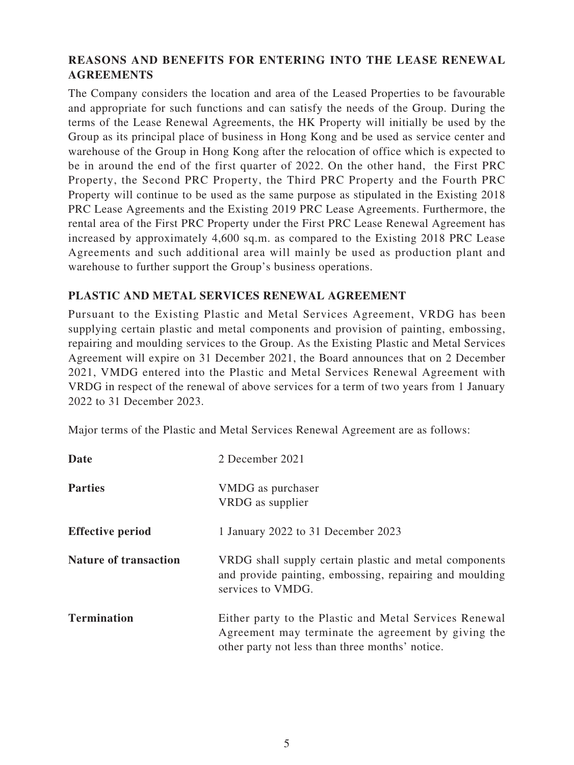# **REASONS AND BENEFITS FOR ENTERING INTO THE LEASE RENEWAL AGREEMENTS**

The Company considers the location and area of the Leased Properties to be favourable and appropriate for such functions and can satisfy the needs of the Group. During the terms of the Lease Renewal Agreements, the HK Property will initially be used by the Group as its principal place of business in Hong Kong and be used as service center and warehouse of the Group in Hong Kong after the relocation of office which is expected to be in around the end of the first quarter of 2022. On the other hand, the First PRC Property, the Second PRC Property, the Third PRC Property and the Fourth PRC Property will continue to be used as the same purpose as stipulated in the Existing 2018 PRC Lease Agreements and the Existing 2019 PRC Lease Agreements. Furthermore, the rental area of the First PRC Property under the First PRC Lease Renewal Agreement has increased by approximately 4,600 sq.m. as compared to the Existing 2018 PRC Lease Agreements and such additional area will mainly be used as production plant and warehouse to further support the Group's business operations.

## **PLASTIC AND METAL SERVICES RENEWAL AGREEMENT**

Pursuant to the Existing Plastic and Metal Services Agreement, VRDG has been supplying certain plastic and metal components and provision of painting, embossing, repairing and moulding services to the Group. As the Existing Plastic and Metal Services Agreement will expire on 31 December 2021, the Board announces that on 2 December 2021, VMDG entered into the Plastic and Metal Services Renewal Agreement with VRDG in respect of the renewal of above services for a term of two years from 1 January 2022 to 31 December 2023.

Major terms of the Plastic and Metal Services Renewal Agreement are as follows:

| Date                         | 2 December 2021                                                                                                                                                  |
|------------------------------|------------------------------------------------------------------------------------------------------------------------------------------------------------------|
| <b>Parties</b>               | VMDG as purchaser<br>VRDG as supplier                                                                                                                            |
| <b>Effective period</b>      | 1 January 2022 to 31 December 2023                                                                                                                               |
| <b>Nature of transaction</b> | VRDG shall supply certain plastic and metal components<br>and provide painting, embossing, repairing and moulding<br>services to VMDG.                           |
| <b>Termination</b>           | Either party to the Plastic and Metal Services Renewal<br>Agreement may terminate the agreement by giving the<br>other party not less than three months' notice. |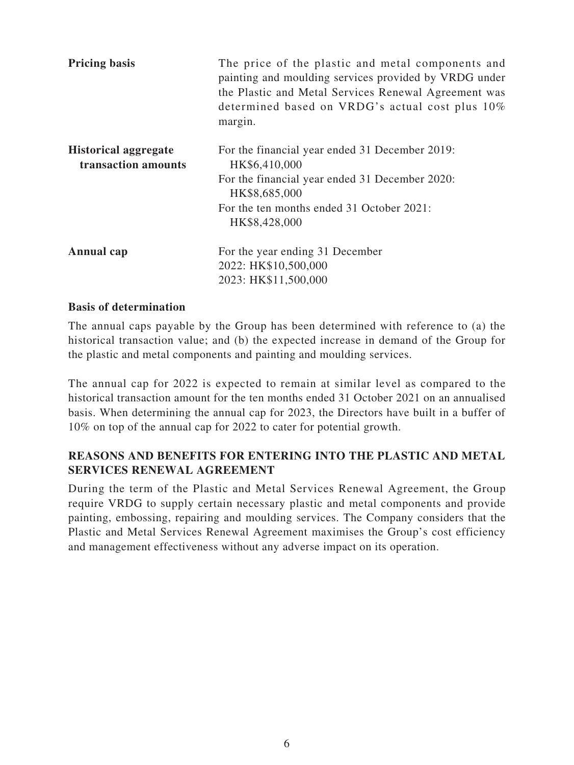| <b>Pricing basis</b>                               | The price of the plastic and metal components and<br>painting and moulding services provided by VRDG under<br>the Plastic and Metal Services Renewal Agreement was<br>determined based on VRDG's actual cost plus 10%<br>margin. |
|----------------------------------------------------|----------------------------------------------------------------------------------------------------------------------------------------------------------------------------------------------------------------------------------|
| <b>Historical aggregate</b><br>transaction amounts | For the financial year ended 31 December 2019:<br>HK\$6,410,000<br>For the financial year ended 31 December 2020:<br>HK\$8,685,000<br>For the ten months ended 31 October 2021:<br>HK\$8,428,000                                 |
| Annual cap                                         | For the year ending 31 December<br>2022: HK\$10,500,000<br>2023: HK\$11,500,000                                                                                                                                                  |

### **Basis of determination**

The annual caps payable by the Group has been determined with reference to (a) the historical transaction value; and (b) the expected increase in demand of the Group for the plastic and metal components and painting and moulding services.

The annual cap for 2022 is expected to remain at similar level as compared to the historical transaction amount for the ten months ended 31 October 2021 on an annualised basis. When determining the annual cap for 2023, the Directors have built in a buffer of 10% on top of the annual cap for 2022 to cater for potential growth.

# **REASONS AND BENEFITS FOR ENTERING INTO THE PLASTIC AND METAL SERVICES RENEWAL AGREEMENT**

During the term of the Plastic and Metal Services Renewal Agreement, the Group require VRDG to supply certain necessary plastic and metal components and provide painting, embossing, repairing and moulding services. The Company considers that the Plastic and Metal Services Renewal Agreement maximises the Group's cost efficiency and management effectiveness without any adverse impact on its operation.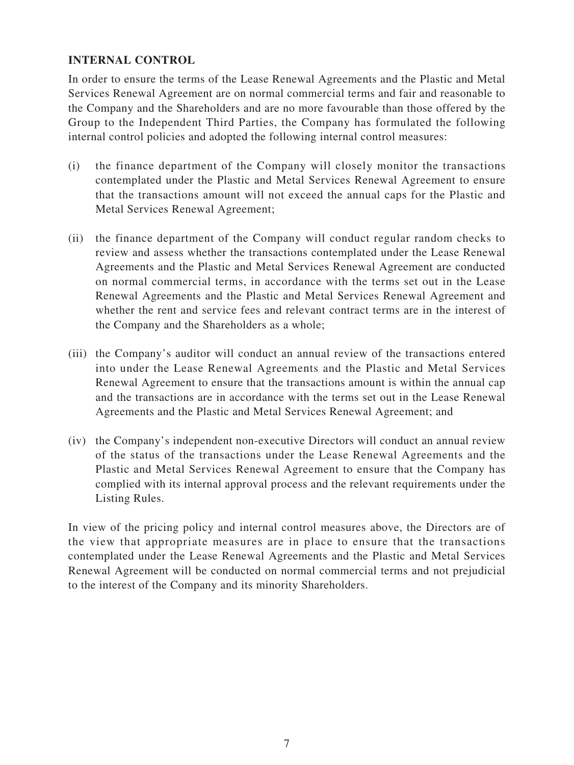## **INTERNAL CONTROL**

In order to ensure the terms of the Lease Renewal Agreements and the Plastic and Metal Services Renewal Agreement are on normal commercial terms and fair and reasonable to the Company and the Shareholders and are no more favourable than those offered by the Group to the Independent Third Parties, the Company has formulated the following internal control policies and adopted the following internal control measures:

- (i) the finance department of the Company will closely monitor the transactions contemplated under the Plastic and Metal Services Renewal Agreement to ensure that the transactions amount will not exceed the annual caps for the Plastic and Metal Services Renewal Agreement;
- (ii) the finance department of the Company will conduct regular random checks to review and assess whether the transactions contemplated under the Lease Renewal Agreements and the Plastic and Metal Services Renewal Agreement are conducted on normal commercial terms, in accordance with the terms set out in the Lease Renewal Agreements and the Plastic and Metal Services Renewal Agreement and whether the rent and service fees and relevant contract terms are in the interest of the Company and the Shareholders as a whole;
- (iii) the Company's auditor will conduct an annual review of the transactions entered into under the Lease Renewal Agreements and the Plastic and Metal Services Renewal Agreement to ensure that the transactions amount is within the annual cap and the transactions are in accordance with the terms set out in the Lease Renewal Agreements and the Plastic and Metal Services Renewal Agreement; and
- (iv) the Company's independent non-executive Directors will conduct an annual review of the status of the transactions under the Lease Renewal Agreements and the Plastic and Metal Services Renewal Agreement to ensure that the Company has complied with its internal approval process and the relevant requirements under the Listing Rules.

In view of the pricing policy and internal control measures above, the Directors are of the view that appropriate measures are in place to ensure that the transactions contemplated under the Lease Renewal Agreements and the Plastic and Metal Services Renewal Agreement will be conducted on normal commercial terms and not prejudicial to the interest of the Company and its minority Shareholders.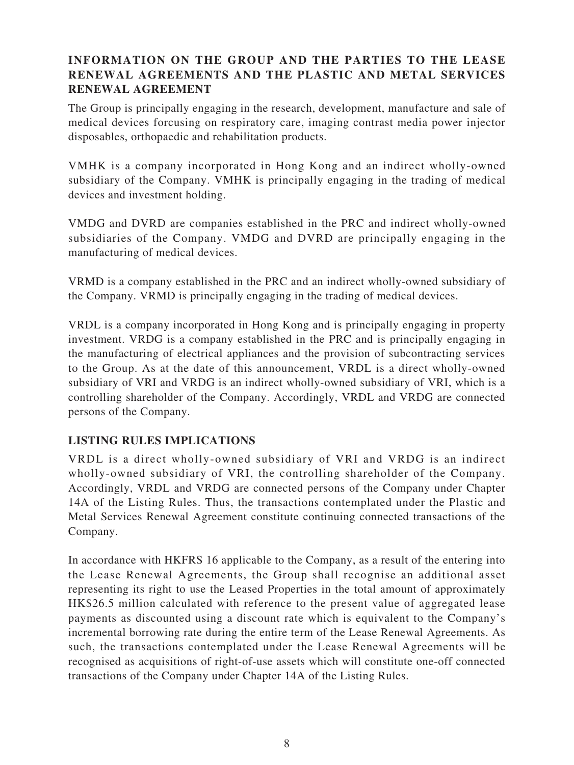# **INFORMATION ON THE GROUP AND THE PARTIES TO THE LEASE RENEWAL AGREEMENTS AND THE PLASTIC AND METAL SERVICES RENEWAL AGREEMENT**

The Group is principally engaging in the research, development, manufacture and sale of medical devices forcusing on respiratory care, imaging contrast media power injector disposables, orthopaedic and rehabilitation products.

VMHK is a company incorporated in Hong Kong and an indirect wholly-owned subsidiary of the Company. VMHK is principally engaging in the trading of medical devices and investment holding.

VMDG and DVRD are companies established in the PRC and indirect wholly-owned subsidiaries of the Company. VMDG and DVRD are principally engaging in the manufacturing of medical devices.

VRMD is a company established in the PRC and an indirect wholly-owned subsidiary of the Company. VRMD is principally engaging in the trading of medical devices.

VRDL is a company incorporated in Hong Kong and is principally engaging in property investment. VRDG is a company established in the PRC and is principally engaging in the manufacturing of electrical appliances and the provision of subcontracting services to the Group. As at the date of this announcement, VRDL is a direct wholly-owned subsidiary of VRI and VRDG is an indirect wholly-owned subsidiary of VRI, which is a controlling shareholder of the Company. Accordingly, VRDL and VRDG are connected persons of the Company.

# **LISTING RULES IMPLICATIONS**

VRDL is a direct wholly-owned subsidiary of VRI and VRDG is an indirect wholly-owned subsidiary of VRI, the controlling shareholder of the Company. Accordingly, VRDL and VRDG are connected persons of the Company under Chapter 14A of the Listing Rules. Thus, the transactions contemplated under the Plastic and Metal Services Renewal Agreement constitute continuing connected transactions of the Company.

In accordance with HKFRS 16 applicable to the Company, as a result of the entering into the Lease Renewal Agreements, the Group shall recognise an additional asset representing its right to use the Leased Properties in the total amount of approximately HK\$26.5 million calculated with reference to the present value of aggregated lease payments as discounted using a discount rate which is equivalent to the Company's incremental borrowing rate during the entire term of the Lease Renewal Agreements. As such, the transactions contemplated under the Lease Renewal Agreements will be recognised as acquisitions of right-of-use assets which will constitute one-off connected transactions of the Company under Chapter 14A of the Listing Rules.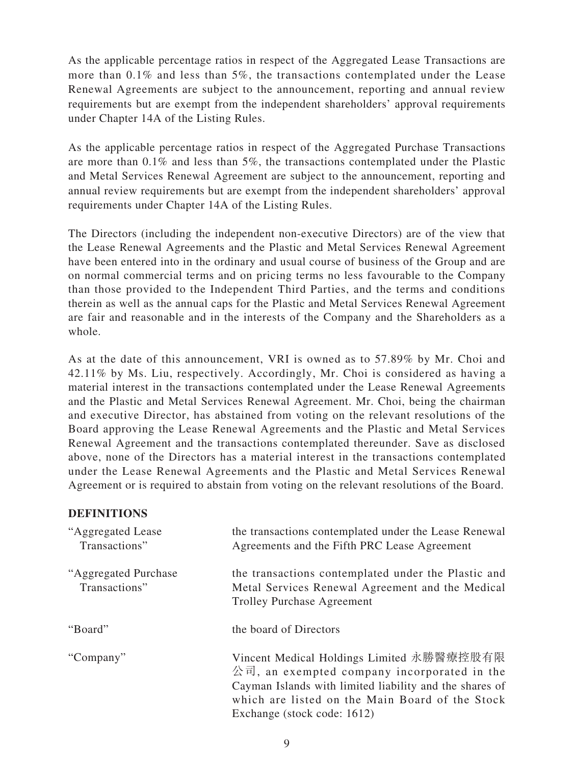As the applicable percentage ratios in respect of the Aggregated Lease Transactions are more than 0.1% and less than 5%, the transactions contemplated under the Lease Renewal Agreements are subject to the announcement, reporting and annual review requirements but are exempt from the independent shareholders' approval requirements under Chapter 14A of the Listing Rules.

As the applicable percentage ratios in respect of the Aggregated Purchase Transactions are more than 0.1% and less than 5%, the transactions contemplated under the Plastic and Metal Services Renewal Agreement are subject to the announcement, reporting and annual review requirements but are exempt from the independent shareholders' approval requirements under Chapter 14A of the Listing Rules.

The Directors (including the independent non-executive Directors) are of the view that the Lease Renewal Agreements and the Plastic and Metal Services Renewal Agreement have been entered into in the ordinary and usual course of business of the Group and are on normal commercial terms and on pricing terms no less favourable to the Company than those provided to the Independent Third Parties, and the terms and conditions therein as well as the annual caps for the Plastic and Metal Services Renewal Agreement are fair and reasonable and in the interests of the Company and the Shareholders as a whole.

As at the date of this announcement, VRI is owned as to 57.89% by Mr. Choi and 42.11% by Ms. Liu, respectively. Accordingly, Mr. Choi is considered as having a material interest in the transactions contemplated under the Lease Renewal Agreements and the Plastic and Metal Services Renewal Agreement. Mr. Choi, being the chairman and executive Director, has abstained from voting on the relevant resolutions of the Board approving the Lease Renewal Agreements and the Plastic and Metal Services Renewal Agreement and the transactions contemplated thereunder. Save as disclosed above, none of the Directors has a material interest in the transactions contemplated under the Lease Renewal Agreements and the Plastic and Metal Services Renewal Agreement or is required to abstain from voting on the relevant resolutions of the Board.

### **DEFINITIONS**

| "Aggregated Lease"<br>Transactions"    | the transactions contemplated under the Lease Renewal<br>Agreements and the Fifth PRC Lease Agreement                                                                                                                                 |
|----------------------------------------|---------------------------------------------------------------------------------------------------------------------------------------------------------------------------------------------------------------------------------------|
| "Aggregated Purchase"<br>Transactions" | the transactions contemplated under the Plastic and<br>Metal Services Renewal Agreement and the Medical<br><b>Trolley Purchase Agreement</b>                                                                                          |
| "Board"                                | the board of Directors                                                                                                                                                                                                                |
| "Company"                              | Vincent Medical Holdings Limited 永勝醫療控股有限<br>公司, an exempted company incorporated in the<br>Cayman Islands with limited liability and the shares of<br>which are listed on the Main Board of the Stock<br>Exchange (stock code: 1612) |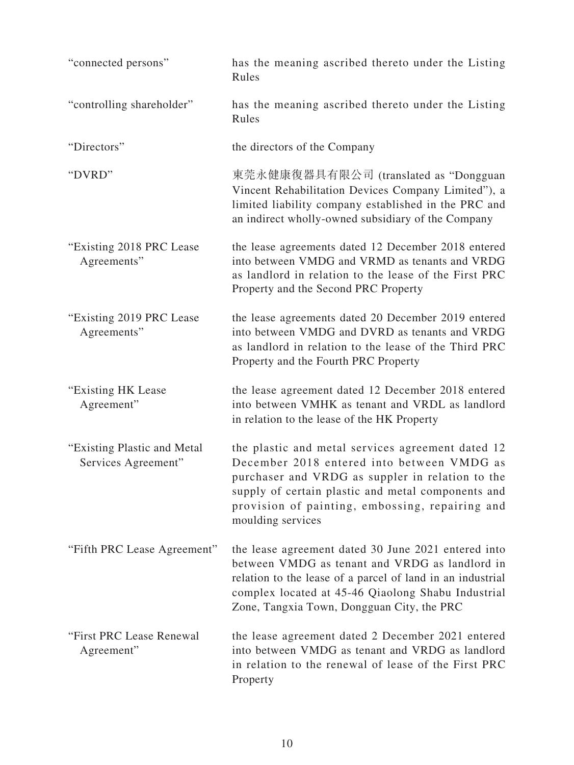| "connected persons"                                 | has the meaning ascribed thereto under the Listing<br>Rules                                                                                                                                                                                                                       |
|-----------------------------------------------------|-----------------------------------------------------------------------------------------------------------------------------------------------------------------------------------------------------------------------------------------------------------------------------------|
| "controlling shareholder"                           | has the meaning ascribed thereto under the Listing<br>Rules                                                                                                                                                                                                                       |
| "Directors"                                         | the directors of the Company                                                                                                                                                                                                                                                      |
| "DVRD"                                              | 東莞永健康復器具有限公司 (translated as "Dongguan<br>Vincent Rehabilitation Devices Company Limited"), a<br>limited liability company established in the PRC and<br>an indirect wholly-owned subsidiary of the Company                                                                        |
| "Existing 2018 PRC Lease"<br>Agreements"            | the lease agreements dated 12 December 2018 entered<br>into between VMDG and VRMD as tenants and VRDG<br>as landlord in relation to the lease of the First PRC<br>Property and the Second PRC Property                                                                            |
| "Existing 2019 PRC Lease"<br>Agreements"            | the lease agreements dated 20 December 2019 entered<br>into between VMDG and DVRD as tenants and VRDG<br>as landlord in relation to the lease of the Third PRC<br>Property and the Fourth PRC Property                                                                            |
| "Existing HK Lease<br>Agreement"                    | the lease agreement dated 12 December 2018 entered<br>into between VMHK as tenant and VRDL as landlord<br>in relation to the lease of the HK Property                                                                                                                             |
| "Existing Plastic and Metal"<br>Services Agreement" | the plastic and metal services agreement dated 12<br>December 2018 entered into between VMDG as<br>purchaser and VRDG as suppler in relation to the<br>supply of certain plastic and metal components and<br>provision of painting, embossing, repairing and<br>moulding services |
| "Fifth PRC Lease Agreement"                         | the lease agreement dated 30 June 2021 entered into<br>between VMDG as tenant and VRDG as landlord in<br>relation to the lease of a parcel of land in an industrial<br>complex located at 45-46 Qiaolong Shabu Industrial<br>Zone, Tangxia Town, Dongguan City, the PRC           |
| "First PRC Lease Renewal<br>Agreement"              | the lease agreement dated 2 December 2021 entered<br>into between VMDG as tenant and VRDG as landlord<br>in relation to the renewal of lease of the First PRC<br>Property                                                                                                         |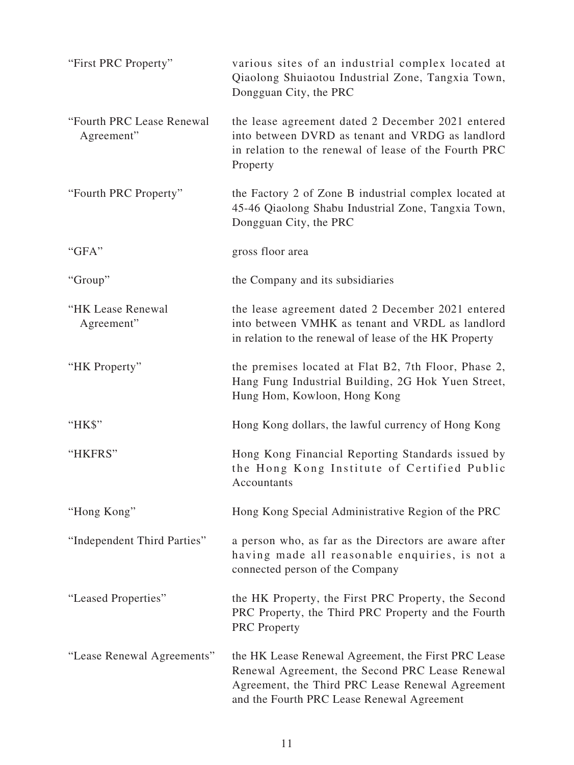| "First PRC Property"                    | various sites of an industrial complex located at<br>Qiaolong Shuiaotou Industrial Zone, Tangxia Town,<br>Dongguan City, the PRC                                                                         |
|-----------------------------------------|----------------------------------------------------------------------------------------------------------------------------------------------------------------------------------------------------------|
| "Fourth PRC Lease Renewal<br>Agreement" | the lease agreement dated 2 December 2021 entered<br>into between DVRD as tenant and VRDG as landlord<br>in relation to the renewal of lease of the Fourth PRC<br>Property                               |
| "Fourth PRC Property"                   | the Factory 2 of Zone B industrial complex located at<br>45-46 Qiaolong Shabu Industrial Zone, Tangxia Town,<br>Dongguan City, the PRC                                                                   |
| "GFA"                                   | gross floor area                                                                                                                                                                                         |
| "Group"                                 | the Company and its subsidiaries                                                                                                                                                                         |
| "HK Lease Renewal<br>Agreement"         | the lease agreement dated 2 December 2021 entered<br>into between VMHK as tenant and VRDL as landlord<br>in relation to the renewal of lease of the HK Property                                          |
| "HK Property"                           | the premises located at Flat B2, 7th Floor, Phase 2,<br>Hang Fung Industrial Building, 2G Hok Yuen Street,<br>Hung Hom, Kowloon, Hong Kong                                                               |
| "HK\$"                                  | Hong Kong dollars, the lawful currency of Hong Kong                                                                                                                                                      |
| "HKFRS"                                 | Hong Kong Financial Reporting Standards issued by<br>the Hong Kong Institute of Certified Public<br><b>Accountants</b>                                                                                   |
| "Hong Kong"                             | Hong Kong Special Administrative Region of the PRC                                                                                                                                                       |
| "Independent Third Parties"             | a person who, as far as the Directors are aware after<br>having made all reasonable enquiries, is not a<br>connected person of the Company                                                               |
| "Leased Properties"                     | the HK Property, the First PRC Property, the Second<br>PRC Property, the Third PRC Property and the Fourth<br><b>PRC</b> Property                                                                        |
| "Lease Renewal Agreements"              | the HK Lease Renewal Agreement, the First PRC Lease<br>Renewal Agreement, the Second PRC Lease Renewal<br>Agreement, the Third PRC Lease Renewal Agreement<br>and the Fourth PRC Lease Renewal Agreement |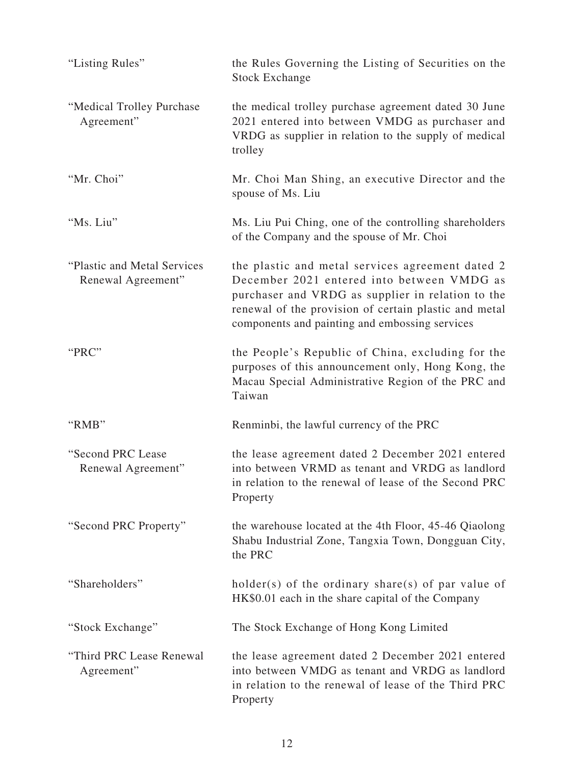| "Listing Rules"                                    | the Rules Governing the Listing of Securities on the<br><b>Stock Exchange</b>                                                                                                                                                                                  |
|----------------------------------------------------|----------------------------------------------------------------------------------------------------------------------------------------------------------------------------------------------------------------------------------------------------------------|
| "Medical Trolley Purchase"<br>Agreement"           | the medical trolley purchase agreement dated 30 June<br>2021 entered into between VMDG as purchaser and<br>VRDG as supplier in relation to the supply of medical<br>trolley                                                                                    |
| "Mr. Choi"                                         | Mr. Choi Man Shing, an executive Director and the<br>spouse of Ms. Liu                                                                                                                                                                                         |
| "Ms. Liu"                                          | Ms. Liu Pui Ching, one of the controlling shareholders<br>of the Company and the spouse of Mr. Choi                                                                                                                                                            |
| "Plastic and Metal Services"<br>Renewal Agreement" | the plastic and metal services agreement dated 2<br>December 2021 entered into between VMDG as<br>purchaser and VRDG as supplier in relation to the<br>renewal of the provision of certain plastic and metal<br>components and painting and embossing services |
| "PRC"                                              | the People's Republic of China, excluding for the<br>purposes of this announcement only, Hong Kong, the<br>Macau Special Administrative Region of the PRC and<br>Taiwan                                                                                        |
| "RMB"                                              | Renminbi, the lawful currency of the PRC                                                                                                                                                                                                                       |
| "Second PRC Lease<br>Renewal Agreement"            | the lease agreement dated 2 December 2021 entered<br>into between VRMD as tenant and VRDG as landlord<br>in relation to the renewal of lease of the Second PRC<br>Property                                                                                     |
| "Second PRC Property"                              | the warehouse located at the 4th Floor, 45-46 Qiaolong<br>Shabu Industrial Zone, Tangxia Town, Dongguan City,<br>the PRC                                                                                                                                       |
| "Shareholders"                                     | $holder(s)$ of the ordinary share(s) of par value of<br>HK\$0.01 each in the share capital of the Company                                                                                                                                                      |
| "Stock Exchange"                                   | The Stock Exchange of Hong Kong Limited                                                                                                                                                                                                                        |
| "Third PRC Lease Renewal<br>Agreement"             | the lease agreement dated 2 December 2021 entered<br>into between VMDG as tenant and VRDG as landlord<br>in relation to the renewal of lease of the Third PRC<br>Property                                                                                      |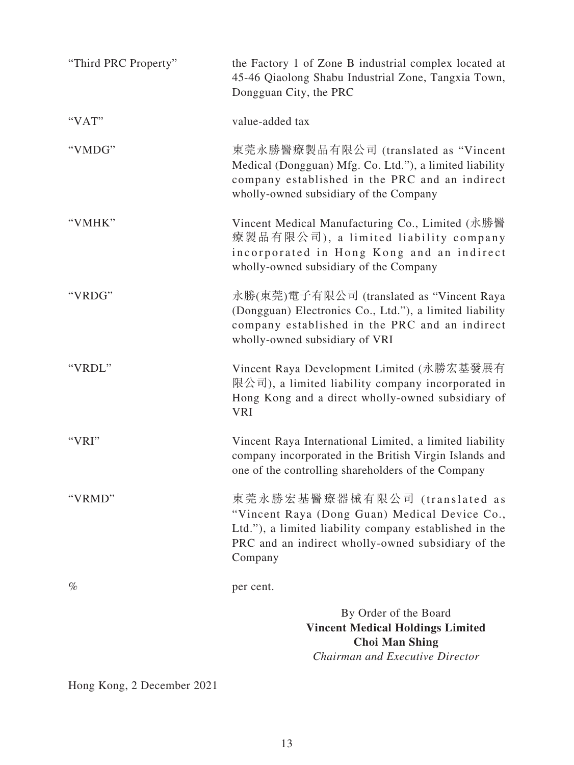| "Third PRC Property" | the Factory 1 of Zone B industrial complex located at<br>45-46 Qiaolong Shabu Industrial Zone, Tangxia Town,<br>Dongguan City, the PRC                                                                    |
|----------------------|-----------------------------------------------------------------------------------------------------------------------------------------------------------------------------------------------------------|
| "VAT"                | value-added tax                                                                                                                                                                                           |
| "VMDG"               | 東莞永勝醫療製品有限公司 (translated as "Vincent<br>Medical (Dongguan) Mfg. Co. Ltd."), a limited liability<br>company established in the PRC and an indirect<br>wholly-owned subsidiary of the Company               |
| "VMHK"               | Vincent Medical Manufacturing Co., Limited (永勝醫<br>療製品有限公司), a limited liability company<br>incorporated in Hong Kong and an indirect<br>wholly-owned subsidiary of the Company                           |
| "VRDG"               | 永勝(東莞)電子有限公司 (translated as "Vincent Raya<br>(Dongguan) Electronics Co., Ltd."), a limited liability<br>company established in the PRC and an indirect<br>wholly-owned subsidiary of VRI                  |
| "VRDL"               | Vincent Raya Development Limited (永勝宏基發展有<br>限公司), a limited liability company incorporated in<br>Hong Kong and a direct wholly-owned subsidiary of<br><b>VRI</b>                                         |
| "VRI"                | Vincent Raya International Limited, a limited liability<br>company incorporated in the British Virgin Islands and<br>one of the controlling shareholders of the Company                                   |
| "VRMD"               | 東莞永勝宏基醫療器械有限公司 (translated as<br>"Vincent Raya (Dong Guan) Medical Device Co.,<br>Ltd."), a limited liability company established in the<br>PRC and an indirect wholly-owned subsidiary of the<br>Company |
| $\%$                 | per cent.                                                                                                                                                                                                 |
|                      | By Order of the Board<br><b>Vincent Medical Holdings Limited</b><br><b>Choi Man Shing</b><br>Chairman and Executive Director                                                                              |

Hong Kong, 2 December 2021